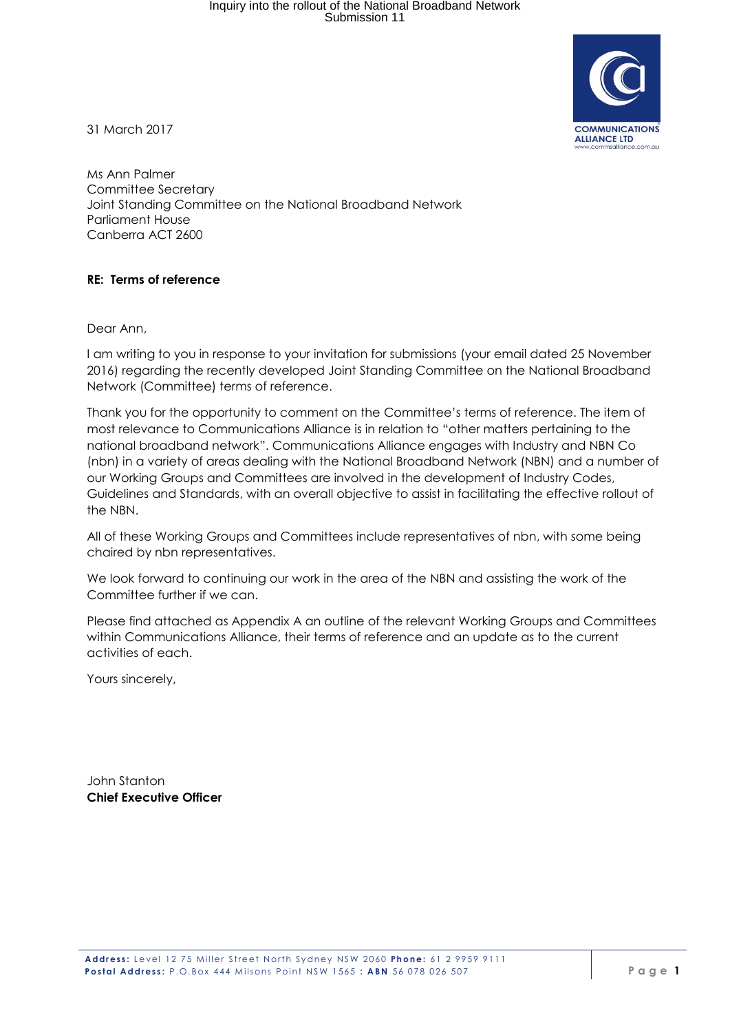

31 March 2017

Ms Ann Palmer Committee Secretary Joint Standing Committee on the National Broadband Network Parliament House Canberra ACT 2600

## **RE: Terms of reference**

Dear Ann,

I am writing to you in response to your invitation for submissions (your email dated 25 November 2016) regarding the recently developed Joint Standing Committee on the National Broadband Network (Committee) terms of reference.

Thank you for the opportunity to comment on the Committee's terms of reference. The item of most relevance to Communications Alliance is in relation to "other matters pertaining to the national broadband network". Communications Alliance engages with Industry and NBN Co (nbn) in a variety of areas dealing with the National Broadband Network (NBN) and a number of our Working Groups and Committees are involved in the development of Industry Codes, Guidelines and Standards, with an overall objective to assist in facilitating the effective rollout of the NBN.

All of these Working Groups and Committees include representatives of nbn, with some being chaired by nbn representatives.

We look forward to continuing our work in the area of the NBN and assisting the work of the Committee further if we can.

Please find attached as Appendix A an outline of the relevant Working Groups and Committees within Communications Alliance, their terms of reference and an update as to the current activities of each.

Yours sincerely,

John Stanton **Chief Executive Officer**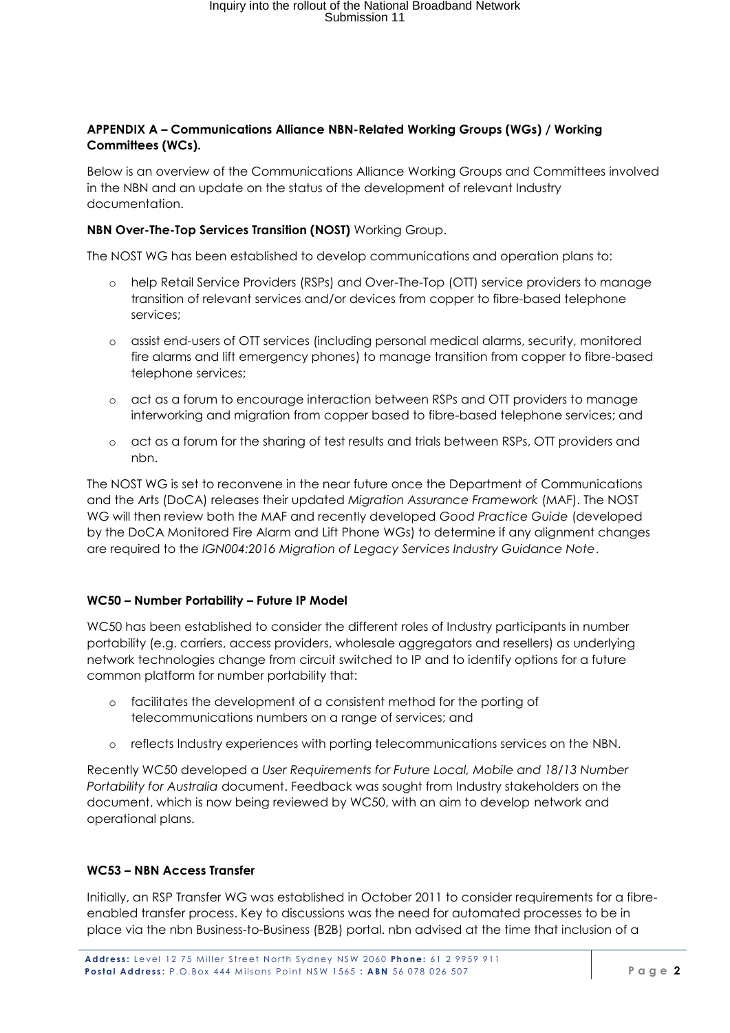## **APPENDIX A – Communications Alliance NBN-Related Working Groups (WGs) / Working Committees (WCs).**

Below is an overview of the Communications Alliance Working Groups and Committees involved in the NBN and an update on the status of the development of relevant Industry documentation.

## **NBN Over-The-Top Services Transition (NOST)** Working Group.

The NOST WG has been established to develop communications and operation plans to:

- o help Retail Service Providers (RSPs) and Over-The-Top (OTT) service providers to manage transition of relevant services and/or devices from copper to fibre-based telephone services;
- o assist end-users of OTT services (including personal medical alarms, security, monitored fire alarms and lift emergency phones) to manage transition from copper to fibre-based telephone services;
- o act as a forum to encourage interaction between RSPs and OTT providers to manage interworking and migration from copper based to fibre-based telephone services; and
- o act as a forum for the sharing of test results and trials between RSPs, OTT providers and nbn.

The NOST WG is set to reconvene in the near future once the Department of Communications and the Arts (DoCA) releases their updated *Migration Assurance Framework* (MAF). The NOST WG will then review both the MAF and recently developed *Good Practice Guide* (developed by the DoCA Monitored Fire Alarm and Lift Phone WGs) to determine if any alignment changes are required to the *IGN004:2016 Migration of Legacy Services Industry Guidance Note*.

# **WC50 – Number Portability – Future IP Model**

WC50 has been established to consider the different roles of Industry participants in number portability (e.g. carriers, access providers, wholesale aggregators and resellers) as underlying network technologies change from circuit switched to IP and to identify options for a future common platform for number portability that:

- o facilitates the development of a consistent method for the porting of telecommunications numbers on a range of services; and
- o reflects Industry experiences with porting telecommunications services on the NBN.

Recently WC50 developed a *User Requirements for Future Local, Mobile and 18/13 Number Portability for Australia* document. Feedback was sought from Industry stakeholders on the document, which is now being reviewed by WC50, with an aim to develop network and operational plans.

# **WC53 – NBN Access Transfer**

Initially, an RSP Transfer WG was established in October 2011 to consider requirements for a fibreenabled transfer process. Key to discussions was the need for automated processes to be in place via the nbn Business-to-Business (B2B) portal. nbn advised at the time that inclusion of a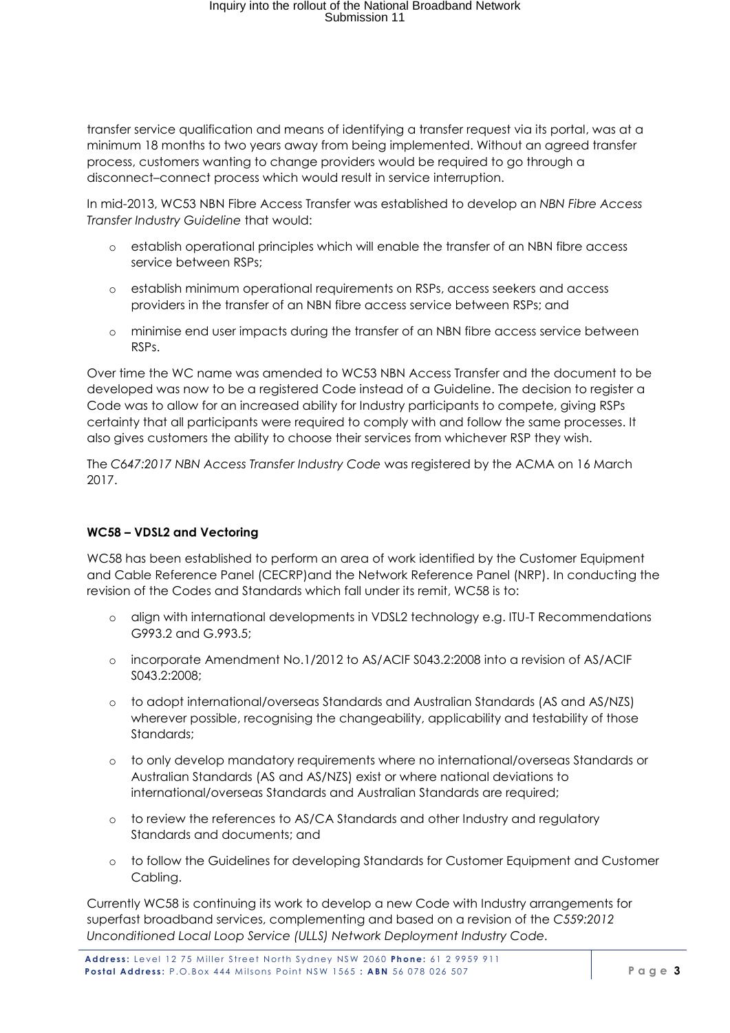# Inquiry into the rollout of the National Broadband Network Submission 11

transfer service qualification and means of identifying a transfer request via its portal, was at a minimum 18 months to two years away from being implemented. Without an agreed transfer process, customers wanting to change providers would be required to go through a disconnect–connect process which would result in service interruption.

In mid-2013, WC53 NBN Fibre Access Transfer was established to develop an *NBN Fibre Access Transfer Industry Guideline* that would:

- o establish operational principles which will enable the transfer of an NBN fibre access service between RSPs;
- o establish minimum operational requirements on RSPs, access seekers and access providers in the transfer of an NBN fibre access service between RSPs; and
- o minimise end user impacts during the transfer of an NBN fibre access service between RSPs.

Over time the WC name was amended to WC53 NBN Access Transfer and the document to be developed was now to be a registered Code instead of a Guideline. The decision to register a Code was to allow for an increased ability for Industry participants to compete, giving RSPs certainty that all participants were required to comply with and follow the same processes. It also gives customers the ability to choose their services from whichever RSP they wish.

The *C647:2017 NBN Access Transfer Industry Code* was registered by the ACMA on 16 March 2017.

# **WC58 – VDSL2 and Vectoring**

WC58 has been established to perform an area of work identified by the Customer Equipment and Cable Reference Panel (CECRP)and the Network Reference Panel (NRP). In conducting the revision of the Codes and Standards which fall under its remit, WC58 is to:

- o align with international developments in VDSL2 technology e.g. ITU-T Recommendations G993.2 and G.993.5;
- o incorporate Amendment No.1/2012 to AS/ACIF S043.2:2008 into a revision of AS/ACIF S043.2:2008;
- o to adopt international/overseas Standards and Australian Standards (AS and AS/NZS) wherever possible, recognising the changeability, applicability and testability of those Standards;
- o to only develop mandatory requirements where no international/overseas Standards or Australian Standards (AS and AS/NZS) exist or where national deviations to international/overseas Standards and Australian Standards are required;
- o to review the references to AS/CA Standards and other Industry and regulatory Standards and documents; and
- o to follow the Guidelines for developing Standards for Customer Equipment and Customer Cabling.

Currently WC58 is continuing its work to develop a new Code with Industry arrangements for superfast broadband services, complementing and based on a revision of the *C559:2012 Unconditioned Local Loop Service (ULLS) Network Deployment Industry Code.*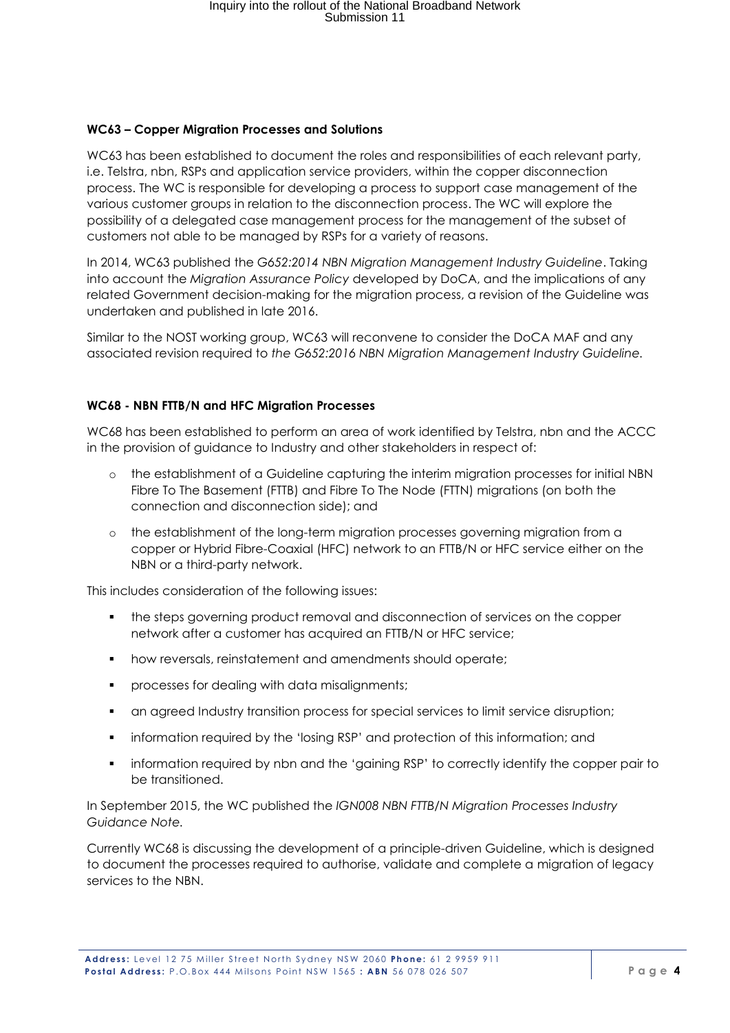## **WC63 – Copper Migration Processes and Solutions**

WC63 has been established to document the roles and responsibilities of each relevant party, i.e. Telstra, nbn, RSPs and application service providers, within the copper disconnection process. The WC is responsible for developing a process to support case management of the various customer groups in relation to the disconnection process. The WC will explore the possibility of a delegated case management process for the management of the subset of customers not able to be managed by RSPs for a variety of reasons.

In 2014, WC63 published the *G652:2014 NBN Migration Management Industry Guideline*. Taking into account the *Migration Assurance Policy* developed by DoCA, and the implications of any related Government decision-making for the migration process, a revision of the Guideline was undertaken and published in late 2016.

Similar to the NOST working group, WC63 will reconvene to consider the DoCA MAF and any associated revision required to *the G652:2016 NBN Migration Management Industry Guideline.*

## **WC68 - NBN FTTB/N and HFC Migration Processes**

WC68 has been established to perform an area of work identified by Telstra, nbn and the ACCC in the provision of guidance to Industry and other stakeholders in respect of:

- o the establishment of a Guideline capturing the interim migration processes for initial NBN Fibre To The Basement (FTTB) and Fibre To The Node (FTTN) migrations (on both the connection and disconnection side); and
- o the establishment of the long-term migration processes governing migration from a copper or Hybrid Fibre-Coaxial (HFC) network to an FTTB/N or HFC service either on the NBN or a third-party network.

This includes consideration of the following issues:

- the steps governing product removal and disconnection of services on the copper network after a customer has acquired an FTTB/N or HFC service;
- how reversals, reinstatement and amendments should operate;
- **•** processes for dealing with data misalignments;
- **•** an agreed Industry transition process for special services to limit service disruption;
- information required by the 'losing RSP' and protection of this information; and
- information required by nbn and the 'gaining RSP' to correctly identify the copper pair to be transitioned.

In September 2015, the WC published the *IGN008 NBN FTTB/N Migration Processes Industry Guidance Note.*

Currently WC68 is discussing the development of a principle-driven Guideline, which is designed to document the processes required to authorise, validate and complete a migration of legacy services to the NBN.